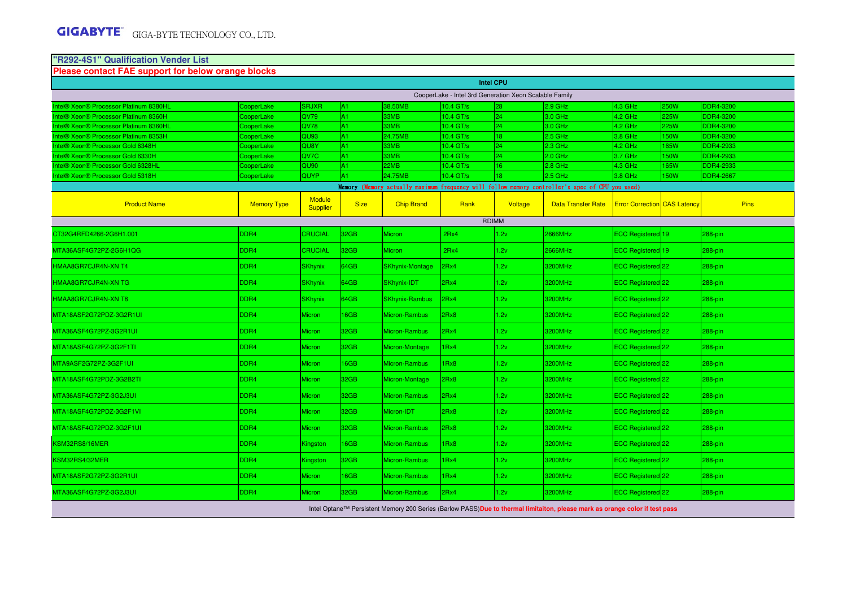| <b>Please contact FAE support for below orange blocks</b><br>ntel® Xeon® Processor Platinum 8380HL |                                                        |                                  |             |                        |                  |                  |                           |                                     |             |                  |  |
|----------------------------------------------------------------------------------------------------|--------------------------------------------------------|----------------------------------|-------------|------------------------|------------------|------------------|---------------------------|-------------------------------------|-------------|------------------|--|
|                                                                                                    |                                                        |                                  |             |                        |                  | <b>Intel CPU</b> |                           |                                     |             |                  |  |
|                                                                                                    | CooperLake - Intel 3rd Generation Xeon Scalable Family |                                  |             |                        |                  |                  |                           |                                     |             |                  |  |
|                                                                                                    | CooperLake                                             | <b>SRJXR</b>                     | A1          | 38.50MB                | 10.4 GT/s        | 28               | 2.9 GHz                   | 4.3 GHz                             | <b>250W</b> | <b>DDR4-3200</b> |  |
| ntel® Xeon® Processor Platinum 8360H                                                               | CooperLake                                             | QV79                             | A1          | 33MB                   | 10.4 GT/s        | 24               | 3.0 GHz                   | $4.2$ GHz                           | 225W        | <b>DDR4-3200</b> |  |
| ntel® Xeon® Processor Platinum 8360HL                                                              | CooperLake                                             | QV78                             | A1          | 33MB                   | 10.4 GT/s        | 24               | 3.0 GHz                   | 4.2 GHz                             | 225W        | <b>DDR4-3200</b> |  |
| ntel® Xeon® Processor Platinum 8353H                                                               | CooperLake                                             | QU <sub>93</sub>                 | A1.         | 24.75MB                | 10.4 GT/s        | 18               | 2.5 GHz                   | 3.8 GHz                             | 150W        | <b>DDR4-3200</b> |  |
| ntel® Xeon® Processor Gold 6348H                                                                   | CooperLake                                             | QU8Y                             | A1          | 33MB                   | 10.4 GT/s        | 24               | 2.3 GHz                   | $4.2$ GHz                           | 165W        | DDR4-2933        |  |
| ntel® Xeon® Processor Gold 6330H                                                                   | CooperLake                                             | QV7C                             | A1          | 33MB                   | 10.4 GT/s        | 24               | $2.0$ GHz                 | $3.7$ GHz                           | <b>50W</b>  | <b>DDR4-2933</b> |  |
| ntel® Xeon® Processor Gold 6328HL                                                                  | CooperLake                                             | QU90                             | A1          | 2MB                    | 10.4 GT/s        | 16 <sup>°</sup>  | 2.8 GHz                   | 4.3 GHz                             | 65W         | DDR4-2933        |  |
| ntel® Xeon® Processor Gold 5318H                                                                   | CooperLake                                             | QUYP                             | A1          | 24.75MB                | 10.4 GT/s        | 18               | 2.5 GHz                   | $3.8$ GHz                           | 150W        | <b>DDR4-2667</b> |  |
| Memory (Memory actually maximum frequency will follow memory controller's spec of CPU you used)    |                                                        |                                  |             |                        |                  |                  |                           |                                     |             |                  |  |
| <b>Product Name</b>                                                                                | <b>Memory Type</b>                                     | <b>Module</b><br><b>Supplier</b> | <b>Size</b> | <b>Chip Brand</b>      | Rank             | Voltage          | <b>Data Transfer Rate</b> | <b>Error Correction CAS Latency</b> |             | <b>Pins</b>      |  |
|                                                                                                    |                                                        |                                  |             |                        |                  | <b>RDIMM</b>     |                           |                                     |             |                  |  |
| CT32G4RFD4266-2G6H1.001                                                                            | DDR4                                                   | CRUCIAL                          | 32GB        | <b>Micron</b>          | 2Rx4             | 1.2v             | 2666MHz                   | ECC Registered 19                   |             | 288-pin          |  |
| MTA36ASF4G72PZ-2G6H1QG                                                                             | DDR4                                                   | CRUCIAL                          | 32GB        | <b>Micron</b>          | 2Rx4             | 1.2v             | 2666MHz                   | ECC Registered 19                   |             | 288-pin          |  |
| HMAA8GR7CJR4N-XN T4                                                                                | DDR4                                                   | <b>SKhynix</b>                   | 64GB        | <b>SKhynix-Montage</b> | 2Rx4             | 1.2v             | 3200MHz                   | ECC Registered 22                   |             | 288-pin          |  |
| HMAA8GR7CJR4N-XN TG                                                                                | DDR4                                                   | <b>SKhynix</b>                   | 34GB        | SKhynix-IDT            | 2Rx4             | 1.2v             | 3200MHz                   | ECC Registered 22                   |             | 288-pin          |  |
| HMAA8GR7CJR4N-XN T8                                                                                | DDR4                                                   | <b>SKhynix</b>                   | 64GB        | <b>SKhynix-Rambus</b>  | 2Rx4             | 1.2v             | 3200MHz                   | ECC Registered 22                   |             | 288-pin          |  |
| MTA18ASF2G72PDZ-3G2R1UI                                                                            | DDR4                                                   | Micron                           | 6GB         | Micron-Rambus          | 2Rx8             | 1.2v             | 3200MHz                   | ECC Registered 22                   |             | 288-pin          |  |
| MTA36ASF4G72PZ-3G2R1UI                                                                             | DDR4                                                   | <b>Micron</b>                    | 32GB        | Micron-Rambus          | 2Rx4             | 1.2v             | 3200MHz                   | ECC Registered 22                   |             | 288-pin          |  |
| MTA18ASF4G72PZ-3G2F1TI                                                                             | DDR4                                                   | Micron                           | 32GB        | Micron-Montage         | 1Rx4             | 1.2v             | 3200MHz                   | ECC Registered <sup>22</sup>        |             | 288-pin          |  |
| MTA9ASF2G72PZ-3G2F1UI                                                                              | DDR4                                                   | <b>Micron</b>                    | 6GB         | Micron-Rambus          | IRx8             | 1.2v             | 3200MHz                   | ECC Registered 22                   |             | 288-pin          |  |
| MTA18ASF4G72PDZ-3G2B2TI                                                                            | DDR4                                                   | <b>Micron</b>                    | 32GB        | Micron-Montage         | 2Rx8             | 1.2v             | 3200MHz                   | ECC Registered 22                   |             | 288-pin          |  |
| MTA36ASF4G72PZ-3G2J3UI                                                                             | DDR4                                                   | <b>Micron</b>                    | 32GB        | Micron-Rambus          | 2Rx4             | 1.2v             | 3200MHz                   | ECC Registered 22                   |             | 288-pin          |  |
| MTA18ASF4G72PDZ-3G2F1VI                                                                            | DDR4                                                   | <b>Micron</b>                    | 32GB        | Micron-IDT             | 2Rx8             | 1.2v             | 3200MHz                   | ECC Registered 22                   |             | 288-pin          |  |
| MTA18ASF4G72PDZ-3G2F1UI                                                                            | DDR4                                                   | <b>Micron</b>                    | 32GB        | Micron-Rambus          | 2Rx8             | 1.2v             | 3200MHz                   | ECC Registered 22                   |             | 288-pin          |  |
| KSM32RS8/16MER                                                                                     | DDR4                                                   | Kingston                         | 6GB         | Micron-Rambus          | IRx8             | 1.2v             | 3200MHz                   | ECC Registered 22                   |             | 288-pin          |  |
| KSM32RS4/32MER                                                                                     | DDR4                                                   | Kingston                         | 32GB        | Micron-Rambus          | 1 <sub>Rx4</sub> | 1.2v             | 3200MHz                   | ECC Registered 22                   |             | 288-pin          |  |
| MTA18ASF2G72PZ-3G2R1UI                                                                             | DDR4                                                   | <b>Micron</b>                    | 16GB        | Micron-Rambus          | 1Rx4             | 1.2v             | 3200MHz                   | ECC Registered <sup>22</sup>        |             | 288-pin          |  |
| MTA36ASF4G72PZ-3G2J3UI                                                                             | DDR4                                                   | Micron                           | 32GB        | Micron-Rambus          | 2Rx4             | 1.2v             | 3200MHz                   | ECC Registered <sup>22</sup>        |             | 288-pin          |  |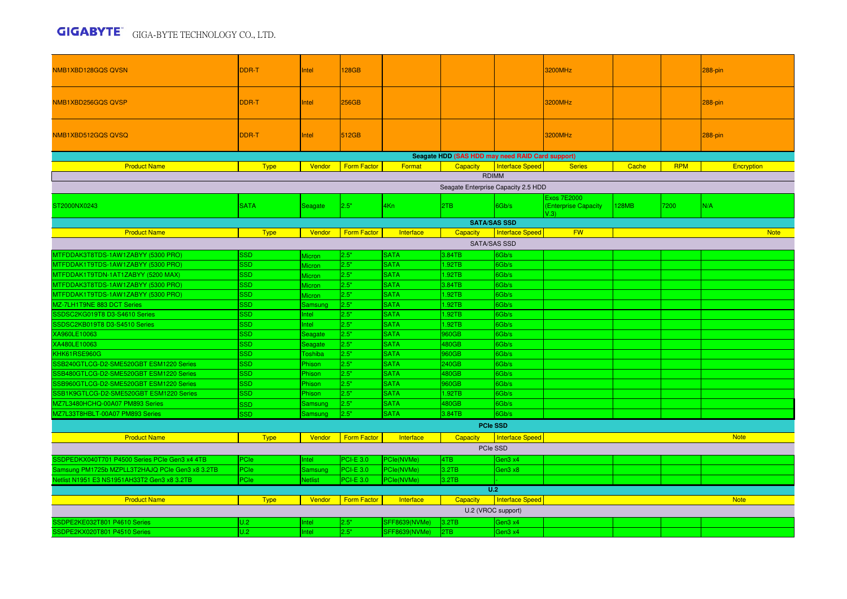## GIGA-BYTE TECHNOLOGY CO., LTD.

| DDR-T<br><b>28GB</b><br>3200MHz<br>NMB1XBD128GQS QVSN<br>Intel                                                                                      | 288-pin                  |  |  |  |  |  |  |  |  |  |
|-----------------------------------------------------------------------------------------------------------------------------------------------------|--------------------------|--|--|--|--|--|--|--|--|--|
| DDR-T<br>256GB<br>3200MHz<br>NMB1XBD256GQS QVSP<br>Intel                                                                                            | 288-pin                  |  |  |  |  |  |  |  |  |  |
| DDR-T<br>512GB<br>3200MHz<br>NMB1XBD512GQSQVSQ<br>Intel                                                                                             | 288-pin                  |  |  |  |  |  |  |  |  |  |
| Seagate HDD (SAS HDD may need RAID Card support)                                                                                                    |                          |  |  |  |  |  |  |  |  |  |
| <b>Form Factor</b><br>Interface Speed<br><b>Product Name</b><br><b>Type</b><br>Vendor<br>Format<br><b>Capacity</b><br>Cache<br><b>Series</b>        | <b>RPM</b><br>Encryption |  |  |  |  |  |  |  |  |  |
| <b>RDIMM</b>                                                                                                                                        |                          |  |  |  |  |  |  |  |  |  |
| Seagate Enterprise Capacity 2.5 HDD                                                                                                                 |                          |  |  |  |  |  |  |  |  |  |
| <b>Exos 7E2000</b><br><b>SATA</b><br>2.5"<br>4Kn<br><b>128MB</b><br>7200<br>2TB<br>6Gb/s<br>ST2000NX0243<br>Seagate<br>(Enterprise Capacity<br>V.3) | N/A                      |  |  |  |  |  |  |  |  |  |
| <b>SATA/SAS SSD</b>                                                                                                                                 |                          |  |  |  |  |  |  |  |  |  |
| <b>FW</b><br><b>Product Name</b><br><b>Type</b><br>Vendor<br><b>Form Factor</b><br>Interface<br>Capacity<br>Interface Speed                         | <b>Note</b>              |  |  |  |  |  |  |  |  |  |
| SATA/SAS SSD                                                                                                                                        |                          |  |  |  |  |  |  |  |  |  |
| 3.84TB<br>MTFDDAK3T8TDS-1AW1ZABYY (5300 PRO)<br><b>SSD</b><br>2.5"<br><b>SATA</b><br>6Gb/s<br><b>Micron</b>                                         |                          |  |  |  |  |  |  |  |  |  |
| 2.5"<br><b>SATA</b><br>MTFDDAK1T9TDS-1AW1ZABYY (5300 PRO)<br><b>SSD</b><br>1.92TB<br>6Gb/s<br><b>Micron</b>                                         |                          |  |  |  |  |  |  |  |  |  |
| MTFDDAK1T9TDN-1AT1ZABYY (5200 MAX)<br>2.5"<br><b>SATA</b><br>SSD.<br>1.92TB<br>6Gb/s<br><b>Micron</b>                                               |                          |  |  |  |  |  |  |  |  |  |
| 2.5"<br>MTFDDAK3T8TDS-1AW1ZABYY (5300 PRO)<br><b>SSD</b><br><b>SATA</b><br>3.84TB<br>6Gb/s<br><b>Micron</b>                                         |                          |  |  |  |  |  |  |  |  |  |
| MTFDDAK1T9TDS-1AW1ZABYY (5300 PRO)<br>2.5"<br><b>SATA</b><br><b>SSD</b><br>1.92TB<br>6Gb/s<br>Micron                                                |                          |  |  |  |  |  |  |  |  |  |
| MZ-7LH1T9NE 883 DCT Series<br><b>SSD</b><br>2.5"<br><b>SATA</b><br>1.92TB<br>6Gb/s<br>Samsung                                                       |                          |  |  |  |  |  |  |  |  |  |
| <b>SSD</b><br>2.5"<br><b>SATA</b><br>SSDSC2KG019T8 D3-S4610 Series<br>1.92TB<br>6Gb/s<br>Intel                                                      |                          |  |  |  |  |  |  |  |  |  |
| 2.5"<br><b>SSD</b><br><b>SATA</b><br>SSDSC2KB019T8 D3-S4510 Series<br>1.92TB<br>6Gb/s<br><b>Intel</b>                                               |                          |  |  |  |  |  |  |  |  |  |
| XA960LE10063<br>2.5"<br><b>SSD</b><br><b>SATA</b><br>960GB<br>6Gb/s<br>Seagate                                                                      |                          |  |  |  |  |  |  |  |  |  |
| XA480LE10063<br>2.5"<br><b>SSD</b><br><b>SATA</b><br>480GB<br>6Gb/s<br>Seagate                                                                      |                          |  |  |  |  |  |  |  |  |  |
| <b>SATA</b><br>KHK61RSE960G<br><b>SSD</b><br>2.5"<br>960GB<br>6Gb/s<br>Toshiba                                                                      |                          |  |  |  |  |  |  |  |  |  |
| SSB240GTLCG-D2-SME520GBT ESM1220 Series<br><b>SSD</b><br>2.5"<br><b>SATA</b><br>240GB<br>6Gb/s<br>Phison                                            |                          |  |  |  |  |  |  |  |  |  |
| SSB480GTLCG-D2-SME520GBT ESM1220 Series<br><b>SSD</b><br>2.5"<br><b>SATA</b><br>480GB<br>Phison<br>6Gb/s                                            |                          |  |  |  |  |  |  |  |  |  |
| 2.5"<br><b>SATA</b><br>SSB960GTLCG-D2-SME520GBT ESM1220 Series<br><b>SSD</b><br>960GB<br>6Gb/s<br>Phison                                            |                          |  |  |  |  |  |  |  |  |  |
| SSB1K9GTLCG-D2-SME520GBT ESM1220 Series<br><b>SSD</b><br>2.5"<br><b>SATA</b><br>1.92TB<br>6Gb/s<br>Phison                                           |                          |  |  |  |  |  |  |  |  |  |
| 2.5"<br><b>SATA</b><br>MZ7L3480HCHQ-00A07 PM893 Series<br>480GB<br>6Gb/s<br><b>SSD</b><br>Samsung                                                   |                          |  |  |  |  |  |  |  |  |  |
| MZ7L33T8HBLT-00A07 PM893 Series<br><b>SATA</b><br>2.5"<br>3.84TB<br><b>SSD</b><br>6Gb/s<br>Samsung                                                  |                          |  |  |  |  |  |  |  |  |  |
| <b>PCIe SSD</b>                                                                                                                                     |                          |  |  |  |  |  |  |  |  |  |
| Vendor<br>Form Factor<br><b>Product Name</b><br><b>Type</b><br>Interface<br>Capacity<br>Interface Speed                                             | <b>Note</b>              |  |  |  |  |  |  |  |  |  |
| PCIe SSD                                                                                                                                            |                          |  |  |  |  |  |  |  |  |  |
| SSDPEDKX040T701 P4500 Series PCIe Gen3 x4 4TB<br>PCle<br><b>PCI-E 3.0</b><br>PCle(NVMe)<br>4TB<br>Intel<br>Gen3 x4                                  |                          |  |  |  |  |  |  |  |  |  |
| Samsung PM1725b MZPLL3T2HAJQ PCIe Gen3 x8 3.2TB<br>PCle<br><b>PCI-E 3.0</b><br>PCle(NVMe)<br>3.2TB<br>Gen3 x8<br>Samsung                            |                          |  |  |  |  |  |  |  |  |  |
| PCIe<br>PCI-E 3.0<br>Netlist N1951 E3 NS1951AH33T2 Gen3 x8 3.2TB<br><b>Netlist</b><br>PCle(NVMe)<br>3.2TB                                           |                          |  |  |  |  |  |  |  |  |  |
| U.2                                                                                                                                                 |                          |  |  |  |  |  |  |  |  |  |
| Form Factor<br>Interface Speed<br><b>Product Name</b><br><b>Type</b><br>Vendor<br>Interface<br>Capacity                                             | <b>Note</b>              |  |  |  |  |  |  |  |  |  |
| U.2 (VROC support)                                                                                                                                  |                          |  |  |  |  |  |  |  |  |  |
| SSDPE2KE032T801 P4610 Series<br>2.5"<br><b>SFF8639(NVMe)</b><br>3.2TB<br>U.2<br>Gen3 x4<br>Intel                                                    |                          |  |  |  |  |  |  |  |  |  |
| 2.5"<br>SSDPE2KX020T801 P4510 Series<br>U.2<br>Intel<br>I <sub>2</sub> TB<br><b>SFF8639(NVMe)</b><br>Gen3 x4                                        |                          |  |  |  |  |  |  |  |  |  |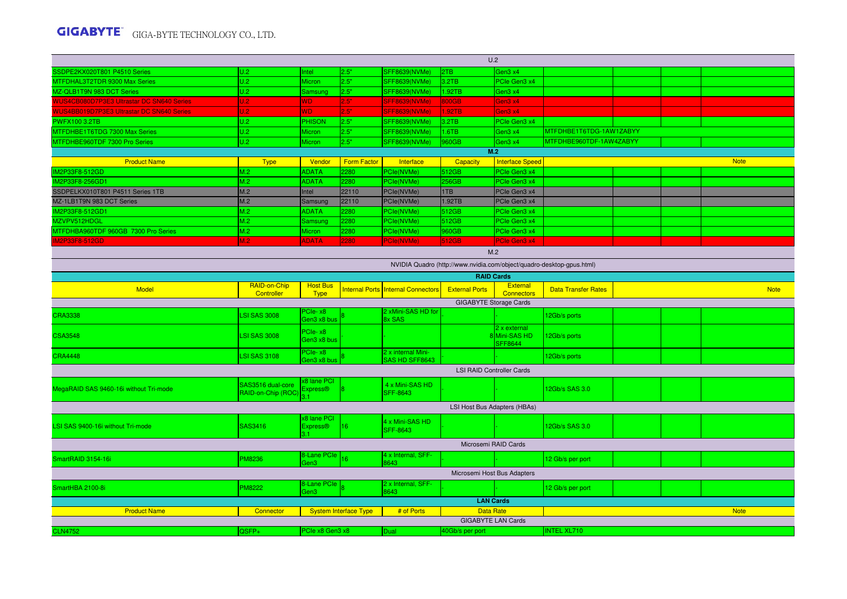## GIGA-BYTE TECHNOLOGY CO., LTD.

| U.2                                               |                     |                        |                              |                                      |                       |                                  |                                                                       |  |  |             |  |  |
|---------------------------------------------------|---------------------|------------------------|------------------------------|--------------------------------------|-----------------------|----------------------------------|-----------------------------------------------------------------------|--|--|-------------|--|--|
| SSDPE2KX020T801 P4510 Series                      | U.2                 | Intel                  | 2.5"                         | SFF8639(NVMe)                        | 2TB                   | Gen3 x4                          |                                                                       |  |  |             |  |  |
| MTFDHAL3T2TDR 9300 Max Series                     | U.2                 | Micron                 | 2.5"                         | <b>SFF8639(NVMe)</b>                 | 3.2TB                 | PCIe Gen3 x4                     |                                                                       |  |  |             |  |  |
| MZ-QLB1T9N 983 DCT Series                         | U.2                 | Samsung                | 2.5"                         | <b>SFF8639(NVMe)</b>                 | 1.92TB                | Gen3 x4                          |                                                                       |  |  |             |  |  |
| <b>WUS4CB080D7P3E3 Ultrastar DC SN640 Series</b>  | U.2                 | WD.                    | 2.5"                         | SFF8639(NVMe)                        | 800GB                 | Gen3 x4                          |                                                                       |  |  |             |  |  |
| <b>WUS4BB019D7P3E3 Ultrastar DC SN640 Series</b>  | J.2                 | <b>WD</b>              | .5"                          | <b>SFF8639(NVMe)</b>                 | .92TB                 | Gen3 x4                          |                                                                       |  |  |             |  |  |
| <b>PWFX100 3.2TB</b>                              | U.2                 | <b>PHISON</b>          | 2.5"                         | <b>SFF8639(NVMe)</b>                 | 3.2TB                 | PCle Gen3 x4                     |                                                                       |  |  |             |  |  |
| MTFDHBE1T6TDG 7300 Max Series                     | U.2                 | <b>Micron</b>          | 2.5"                         | SFF8639(NVMe)                        | 1.6TB                 | Gen3 x4                          | MTFDHBE1T6TDG-1AW1ZABYY                                               |  |  |             |  |  |
| MTFDHBE960TDF 7300 Pro Series                     | U.2                 | <b>Micron</b>          | 2.5"                         | SFF8639(NVMe)                        | 960GB                 | Gen3 x4                          | MTFDHBE960TDF-1AW4ZABYY                                               |  |  |             |  |  |
|                                                   |                     |                        |                              |                                      |                       | M.2                              |                                                                       |  |  |             |  |  |
| <b>Product Name</b>                               | <b>Type</b>         | Vendor                 | <b>Form Factor</b>           | Interface                            | Capacity              | <b>Interface Speed</b>           |                                                                       |  |  | <b>Note</b> |  |  |
| IM2P33F8-512GD                                    | M.2                 | <b>ADATA</b>           | 280                          | PCle(NVMe)                           | 512GB                 | PCle Gen3 x4                     |                                                                       |  |  |             |  |  |
| IM2P33F8-256GD1                                   | M.2                 | <b>ADATA</b>           | 2280                         | PCle(NVMe)                           | 256GB                 | PCle Gen3 x4                     |                                                                       |  |  |             |  |  |
| SSDPELKX010T801 P4511 Series 1TB                  | M.2                 | Intel                  | 22110                        | PCle(NVMe)                           | 1TB                   | PCle Gen3 x4                     |                                                                       |  |  |             |  |  |
| MZ-1LB1T9N 983 DCT Series                         | M.2                 | Samsung                | 22110                        | PCle(NVMe)                           | 1.92TB                | PCIe Gen3 x4                     |                                                                       |  |  |             |  |  |
| IM2P33F8-512GD1                                   | M.2                 | <b>ADATA</b>           | 2280                         | PCle(NVMe)                           | 512GB                 | PCIe Gen3 x4                     |                                                                       |  |  |             |  |  |
| MZVPV512HDGL                                      | M.2                 | Samsung                | 2280                         | PCle(NVMe)                           | 512GB                 | PCle Gen3 x4                     |                                                                       |  |  |             |  |  |
| MTFDHBA960TDF 960GB 7300 Pro Series               | M.2                 | Micron                 | 2280                         | PCle(NVMe)                           | 960GB                 | PCle Gen3 x4                     |                                                                       |  |  |             |  |  |
| M2P33F8-512GD                                     | M.2                 | <b>ADATA</b>           | 2280                         | <b>PCIe(NVMe)</b>                    | 512GB                 | PCle Gen3 x4                     |                                                                       |  |  |             |  |  |
| M.2                                               |                     |                        |                              |                                      |                       |                                  |                                                                       |  |  |             |  |  |
|                                                   |                     |                        |                              |                                      |                       |                                  | NVIDIA Quadro (http://www.nvidia.com/object/quadro-desktop-gpus.html) |  |  |             |  |  |
|                                                   |                     |                        |                              |                                      |                       | <b>RAID Cards</b>                |                                                                       |  |  |             |  |  |
|                                                   | RAID-on-Chip        | <b>Host Bus</b>        |                              |                                      |                       | <b>External</b>                  |                                                                       |  |  |             |  |  |
| <b>Model</b>                                      | Controller          | <b>Type</b>            |                              | Internal Ports Internal Connectors   | <b>External Ports</b> | <b>Connectors</b>                | <b>Data Transfer Rates</b>                                            |  |  | <b>Note</b> |  |  |
| <b>GIGABYTE Storage Cards</b>                     |                     |                        |                              |                                      |                       |                                  |                                                                       |  |  |             |  |  |
| <b>CRA3338</b>                                    | <b>LSI SAS 3008</b> | PCIe-x8<br>Gen3 x8 bus |                              | 2 xMini-SAS HD for<br>8x SAS         |                       |                                  | 12Gb/s ports                                                          |  |  |             |  |  |
|                                                   |                     |                        |                              |                                      |                       | 2 x external                     |                                                                       |  |  |             |  |  |
| <b>CSA3548</b>                                    | <b>LSI SAS 3008</b> | PCIe-x8<br>Gen3 x8 bus |                              |                                      |                       | 8Mini-SAS HD                     | 12Gb/s ports                                                          |  |  |             |  |  |
|                                                   |                     |                        |                              |                                      |                       | <b>SFF8644</b>                   |                                                                       |  |  |             |  |  |
| <b>CRA4448</b>                                    | <b>LSI SAS 3108</b> | PCIe-x8<br>Gen3 x8 bus |                              | 2 x internal Mini-<br>SAS HD SFF8643 |                       |                                  | 12Gb/s ports                                                          |  |  |             |  |  |
|                                                   |                     |                        |                              |                                      |                       | <b>LSI RAID Controller Cards</b> |                                                                       |  |  |             |  |  |
|                                                   |                     | x8 lane PCI            |                              |                                      |                       |                                  |                                                                       |  |  |             |  |  |
| MegaRAID SAS 9460-16i without Tri-mode            | SAS3516 dual-core   | <b>Express®</b>        |                              | 4 x Mini-SAS HD                      |                       |                                  | 12Gb/s SAS 3.0                                                        |  |  |             |  |  |
|                                                   | RAID-on-Chip (ROC   |                        |                              | <b>SFF-8643</b>                      |                       |                                  |                                                                       |  |  |             |  |  |
|                                                   |                     |                        |                              |                                      |                       | LSI Host Bus Adapters (HBAs)     |                                                                       |  |  |             |  |  |
|                                                   |                     | x8 lane PCI            |                              | 4 x Mini-SAS HD                      |                       |                                  |                                                                       |  |  |             |  |  |
| LSI SAS 9400-16i without Tri-mode                 | <b>SAS3416</b>      | <b>Express®</b>        | 116                          | <b>SFF-8643</b>                      |                       |                                  | 12Gb/s SAS 3.0                                                        |  |  |             |  |  |
|                                                   |                     | 3.1                    |                              |                                      |                       |                                  |                                                                       |  |  |             |  |  |
|                                                   |                     |                        |                              |                                      |                       | Microsemi RAID Cards             |                                                                       |  |  |             |  |  |
| SmartRAID 3154-16i                                | <b>PM8236</b>       | 8-Lane PCIe<br>Gen3    |                              | 4 x Internal, SFF-<br>8643           |                       |                                  | 12 Gb/s per port                                                      |  |  |             |  |  |
|                                                   |                     |                        |                              |                                      |                       |                                  |                                                                       |  |  |             |  |  |
| Microsemi Host Bus Adapters<br>2 x Internal, SFF- |                     |                        |                              |                                      |                       |                                  |                                                                       |  |  |             |  |  |
| SmartHBA 2100-8i                                  | <b>PM8222</b>       | 8-Lane PCIe<br>Gen3    |                              | 8643                                 |                       |                                  | 12 Gb/s per port                                                      |  |  |             |  |  |
|                                                   |                     |                        |                              |                                      |                       | <b>LAN Cards</b>                 |                                                                       |  |  |             |  |  |
| <b>Product Name</b>                               | Connector           |                        | <b>System Interface Type</b> | # of Ports                           |                       | <b>Data Rate</b><br><b>Note</b>  |                                                                       |  |  |             |  |  |
|                                                   |                     |                        |                              |                                      |                       | <b>GIGABYTE LAN Cards</b>        |                                                                       |  |  |             |  |  |
| <b>CLN4752</b>                                    | QSFP+               | PCIe x8 Gen3 x8        |                              | Dual                                 | 40Gb/s per port       | <b>INTEL XL710</b>               |                                                                       |  |  |             |  |  |
|                                                   |                     |                        |                              |                                      |                       |                                  |                                                                       |  |  |             |  |  |